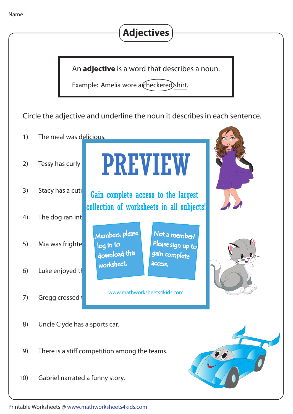